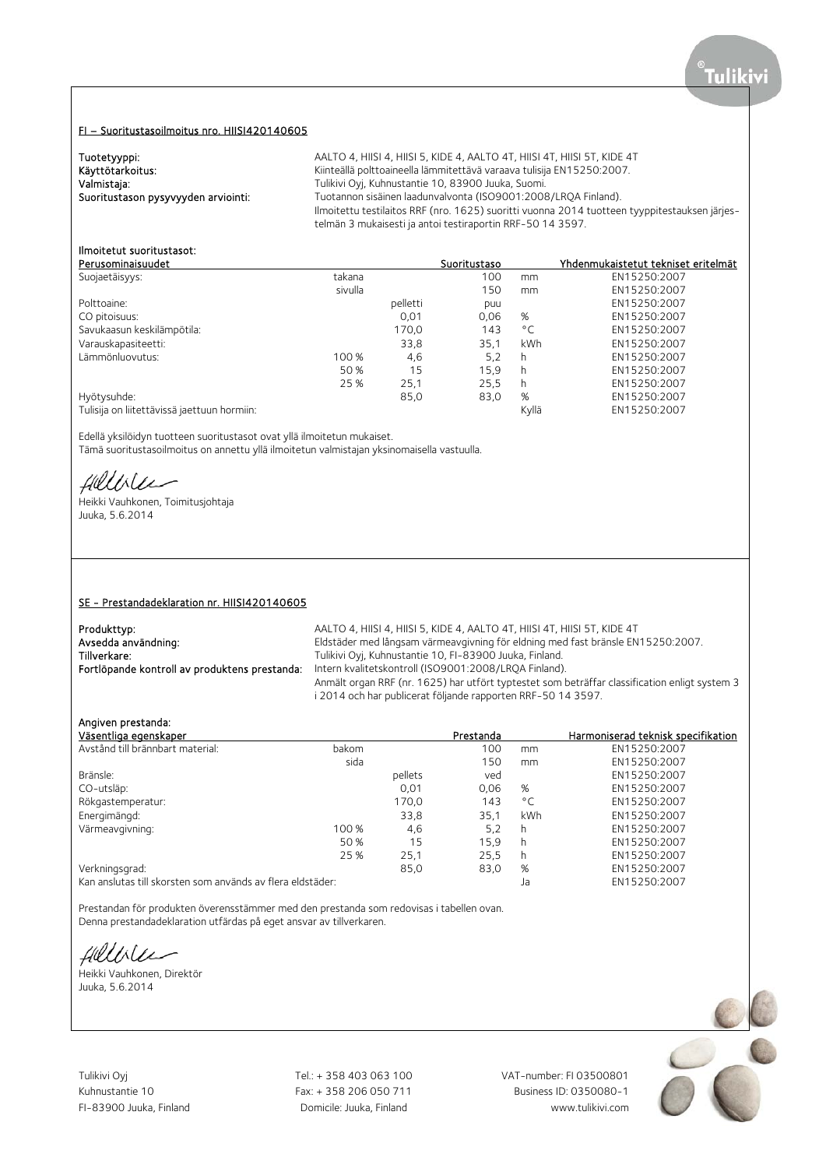## FI – Suoritustasoilmoitus nro. HIISI420140605

| Tuotetyyppi:                        | AALTO 4, HIISI 4, HIISI 5, KIDE 4, AALTO 4T, HIISI 4T, HIISI 5T, KIDE 4T                      |
|-------------------------------------|-----------------------------------------------------------------------------------------------|
| Käyttötarkoitus:                    | Kiinteällä polttoaineella lämmitettävä varaava tulisija EN15250:2007.                         |
| Valmistaja:                         | Tulikivi Oyj, Kuhnustantie 10, 83900 Juuka, Suomi.                                            |
| Suoritustason pysyvyyden arviointi: | Tuotannon sisäinen laadunvalvonta (ISO9001:2008/LROA Finland).                                |
|                                     | Ilmoitettu testilaitos RRF (nro. 1625) suoritti vuonna 2014 tuotteen tyyppitestauksen järjes- |
|                                     | telmän 3 mukaisesti ja antoi testiraportin RRF-50 14 3597.                                    |

# Ilmoitetut suoritustasot:

| Perusominaisuudet                           |         |          | Suoritustaso |              | Yhdenmukaistetut tekniset eritelmät |
|---------------------------------------------|---------|----------|--------------|--------------|-------------------------------------|
| Suojaetäisyys:                              | takana  |          | 100          | mm           | EN15250:2007                        |
|                                             | sivulla |          | 150          | mm           | EN15250:2007                        |
| Polttoaine:                                 |         | pelletti | puu          |              | EN15250:2007                        |
| CO pitoisuus:                               |         | 0,01     | 0.06         | %            | EN15250:2007                        |
| Savukaasun keskilämpötila:                  |         | 170,0    | 143          | $^{\circ}$ C | EN15250:2007                        |
| Varauskapasiteetti:                         |         | 33,8     | 35,1         | kWh          | EN15250:2007                        |
| Lämmönluovutus:                             | 100 %   | 4,6      | 5,2          | h            | EN15250:2007                        |
|                                             | 50 %    | 15       | 15.9         | h            | EN15250:2007                        |
|                                             | 25 %    | 25,1     | 25.5         | h            | EN15250:2007                        |
| Hyötysuhde:                                 |         | 85,0     | 83,0         | %            | EN15250:2007                        |
| Tulisija on liitettävissä jaettuun hormiin: |         |          |              | Kyllä        | EN15250:2007                        |
|                                             |         |          |              |              |                                     |

Edellä yksilöidyn tuotteen suoritustasot ovat yllä ilmoitetun mukaiset. Tämä suoritustasoilmoitus on annettu yllä ilmoitetun valmistajan yksinomaisella vastuulla.

filliler

Heikki Vauhkonen, Toimitusjohtaja Juuka, 5.6.2014

### SE - Prestandadeklaration nr. HIISI420140605

| Produkttyp:                                   | AALTO 4, HIISI 4, HIISI 5, KIDE 4, AALTO 4T, HIISI 4T, HIISI 5T, KIDE 4T                      |
|-----------------------------------------------|-----------------------------------------------------------------------------------------------|
| Avsedda användning:                           | Eldstäder med långsam värmeavgivning för eldning med fast bränsle EN15250:2007.               |
| Tillverkare:                                  | Tulikivi Oyj, Kuhnustantie 10, FI-83900 Juuka, Finland.                                       |
| Fortlöpande kontroll av produktens prestanda: | Intern kvalitetskontroll (ISO9001:2008/LRQA Finland).                                         |
|                                               | Anmält organ RRF (nr. 1625) har utfört typtestet som beträffar classification enligt system 3 |
|                                               | i 2014 och har publicerat följande rapporten RRF-50 14 3597.                                  |

## Angiven prestanda:

| Väsentliga egenskaper                                      |       |         | Prestanda |              | Harmoniserad teknisk specifikation |
|------------------------------------------------------------|-------|---------|-----------|--------------|------------------------------------|
| Avstånd till brännbart material:                           | bakom |         | 100       | mm           | EN15250:2007                       |
|                                                            | sida  |         | 150       | mm           | EN15250:2007                       |
| Bränsle:                                                   |       | pellets | ved       |              | EN15250:2007                       |
| CO-utsläp:                                                 |       | 0,01    | 0,06      | %            | EN15250:2007                       |
| Rökgastemperatur:                                          |       | 170,0   | 143       | $^{\circ}$ C | EN15250:2007                       |
| Energimängd:                                               |       | 33,8    | 35,1      | kWh          | EN15250:2007                       |
| Värmeavgivning:                                            | 100 % | 4,6     | 5,2       | h            | EN15250:2007                       |
|                                                            | 50 %  | 15      | 15,9      | h            | EN15250:2007                       |
|                                                            | 25 %  | 25,1    | 25,5      | h            | EN15250:2007                       |
| Verkningsgrad:                                             |       | 85,0    | 83,0      | %            | EN15250:2007                       |
| Kan anslutas till skorsten som används av flera eldstäder: |       |         |           | Ja           | EN15250:2007                       |

Prestandan för produkten överensstämmer med den prestanda som redovisas i tabellen ovan. Denna prestandadeklaration utfärdas på eget ansvar av tillverkaren.

fillble

Heikki Vauhkonen, Direktör Juuka, 5.6.2014

Tulikivi Oyj Tel.: + 358 403 063 100 VAT-number: FI 03500801

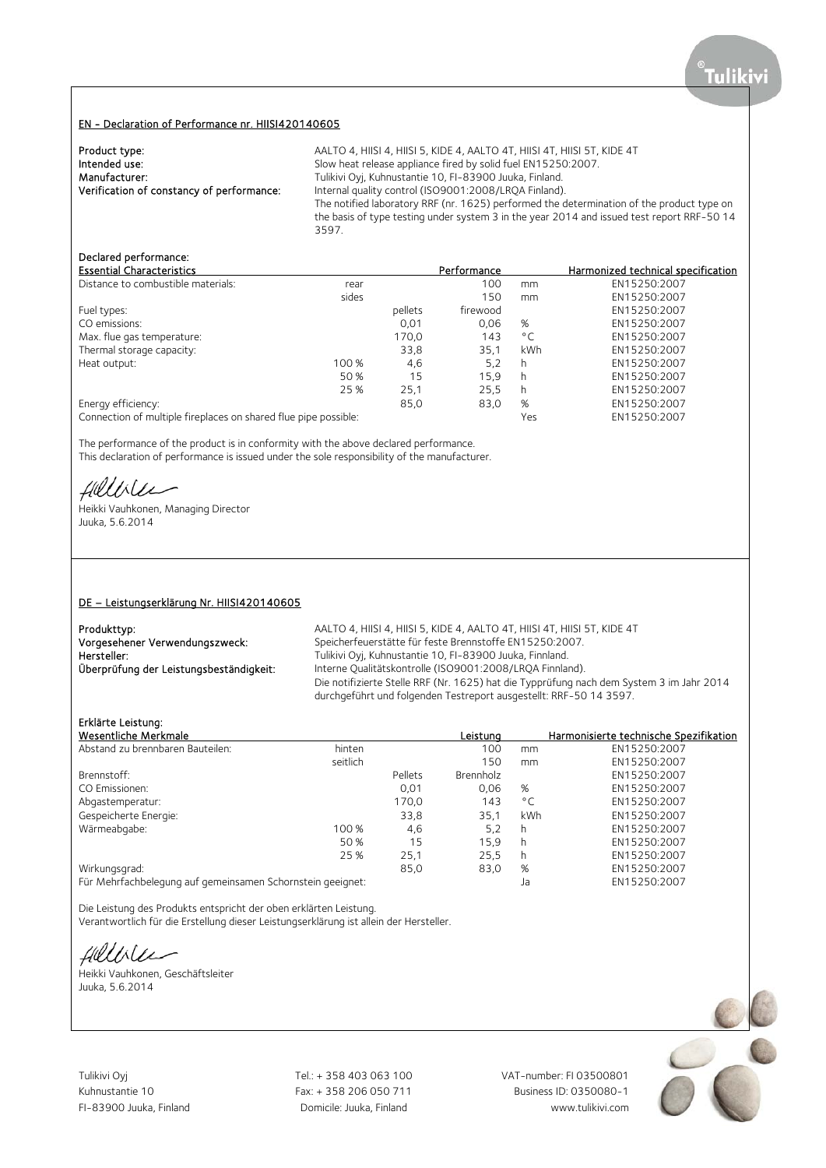#### EN - Declaration of Performance nr. HIISI420140605

| Product type:                             | AALTO 4, HIISI 4, HIISI 5, KIDE 4, AALTO 4T, HIISI 4T, HIISI 5T, KIDE 4T                   |
|-------------------------------------------|--------------------------------------------------------------------------------------------|
| Intended use:                             | Slow heat release appliance fired by solid fuel EN15250:2007.                              |
| Manufacturer:                             | Tulikivi Oyj, Kuhnustantie 10, FI-83900 Juuka, Finland.                                    |
| Verification of constancy of performance: | Internal quality control (ISO9001:2008/LROA Finland).                                      |
|                                           | The notified laboratory RRF (nr. 1625) performed the determination of the product type on  |
|                                           | the basis of type testing under system 3 in the year 2014 and issued test report RRF-50 14 |
|                                           | 3597.                                                                                      |

## Declared performance:

| <b>Essential Characteristics</b>                                |       |         | Performance |              | Harmonized technical specification |
|-----------------------------------------------------------------|-------|---------|-------------|--------------|------------------------------------|
| Distance to combustible materials:                              | rear  |         | 100         | mm           | EN15250:2007                       |
|                                                                 | sides |         | 150         | mm           | EN15250:2007                       |
| Fuel types:                                                     |       | pellets | firewood    |              | EN15250:2007                       |
| CO emissions:                                                   |       | 0,01    | 0.06        | %            | EN15250:2007                       |
| Max. flue gas temperature:                                      |       | 170,0   | 143         | $^{\circ}$ C | EN15250:2007                       |
| Thermal storage capacity:                                       |       | 33,8    | 35,1        | kWh          | EN15250:2007                       |
| Heat output:                                                    | 100 % | 4,6     | 5,2         | h            | EN15250:2007                       |
|                                                                 | 50 %  | 15      | 15.9        | h            | EN15250:2007                       |
|                                                                 | 25 %  | 25,1    | 25.5        | h            | EN15250:2007                       |
| Energy efficiency:                                              |       | 85.0    | 83,0        | %            | EN15250:2007                       |
| Connection of multiple fireplaces on shared flue pipe possible: |       |         |             | Yes          | EN15250:2007                       |

The performance of the product is in conformity with the above declared performance. This declaration of performance is issued under the sole responsibility of the manufacturer.

fillble

Heikki Vauhkonen, Managing Director Juuka, 5.6.2014

#### DE – Leistungserklärung Nr. HIISI420140605

Produkttyp: example and the AALTO 4, HIISI 4, HIISI 5, KIDE 4, AALTO 4T, HIISI 4T, HIISI 5T, KIDE 4T Vorgesehener Verwendungszweck: Speicherfeuerstätte für feste Brennstoffe EN15250:2007.<br>Tulikivi Ovi, Kuhnustantie 10, FI-83900 Juuka, Finnland. Hersteller: Tulikivi Oyj, Kuhnustantie 10, FI-83900 Juuka, Finnland.<br>
Überprüfung der Leistungsbeständigkeit: Thterne Qualitätskontrolle (ISO9001:2008/LRQA Finnlar Interne Qualitätskontrolle (ISO9001:2008/LRQA Finnland). Die notifizierte Stelle RRF (Nr. 1625) hat die Typprüfung nach dem System 3 im Jahr 2014 durchgeführt und folgenden Testreport ausgestellt: RRF-50 14 3597.

#### Erklärte Leistung:

|                                                                             |         | Leistung  |              | Harmonisierte technische Spezifikation |
|-----------------------------------------------------------------------------|---------|-----------|--------------|----------------------------------------|
| hinten                                                                      |         | 100       | mm           | EN15250:2007                           |
| seitlich                                                                    |         | 150       | mm           | EN15250:2007                           |
|                                                                             | Pellets | Brennholz |              | EN15250:2007                           |
|                                                                             | 0,01    | 0,06      | %            | EN15250:2007                           |
|                                                                             | 170,0   | 143       | $^{\circ}$ C | EN15250:2007                           |
|                                                                             | 33,8    | 35,1      | kWh          | EN15250:2007                           |
| 100 %                                                                       | 4,6     | 5,2       | h            | EN15250:2007                           |
| 50 %                                                                        | 15      | 15,9      | h            | EN15250:2007                           |
| 25 %                                                                        | 25,1    | 25,5      | h            | EN15250:2007                           |
|                                                                             | 85.0    | 83,0      | %            | EN15250:2007                           |
| Wirkungsgrad:<br>Für Mehrfachbelegung auf gemeinsamen Schornstein geeignet: |         |           | Ja           | EN15250:2007                           |
|                                                                             |         |           |              |                                        |

Die Leistung des Produkts entspricht der oben erklärten Leistung. Verantwortlich für die Erstellung dieser Leistungserklärung ist allein der Hersteller.

fillble

Heikki Vauhkonen, Geschäftsleiter Juuka, 5.6.2014

Tulikivi Oyj Tel.: + 358 403 063 100 VAT-number: FI 03500801

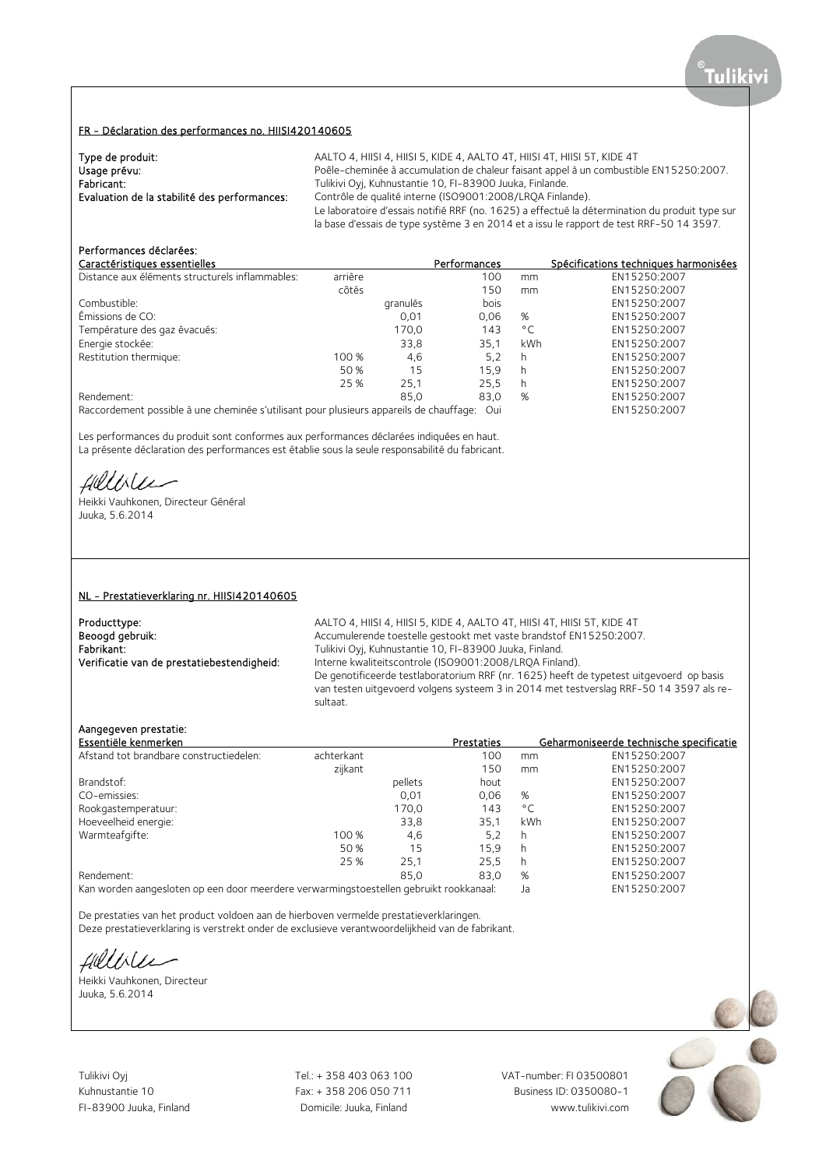## FR - Déclaration des performances no. HIISI420140605

| Type de produit:                             | AALTO 4, HIISI 4, HIISI 5, KIDE 4, AALTO 4T, HIISI 4T, HIISI 5T, KIDE 4T                                                                                                                  |
|----------------------------------------------|-------------------------------------------------------------------------------------------------------------------------------------------------------------------------------------------|
| Usage prévu:                                 | Poêle-cheminée à accumulation de chaleur faisant appel à un combustible EN15250:2007.                                                                                                     |
| Fabricant:                                   | Tulikivi Oyj, Kuhnustantie 10, FI-83900 Juuka, Finlande.                                                                                                                                  |
| Evaluation de la stabilité des performances: | Contrôle de qualité interne (ISO9001:2008/LROA Finlande).                                                                                                                                 |
|                                              | Le laboratoire d'essais notifié RRF (no. 1625) a effectué la détermination du produit type sur<br>la base d'essais de type système 3 en 2014 et a issu le rapport de test RRF-50 14 3597. |

## Performances déclarées:

|                                                                                         |          | <b>Performances</b> |              | Spécifications techniques harmonisées |
|-----------------------------------------------------------------------------------------|----------|---------------------|--------------|---------------------------------------|
| arrière                                                                                 |          | 100                 | mm           | EN15250:2007                          |
| côtés                                                                                   |          | 150                 | mm           | EN15250:2007                          |
|                                                                                         | granulés | bois                |              | EN15250:2007                          |
|                                                                                         | 0,01     | 0.06                | %            | EN15250:2007                          |
|                                                                                         | 170,0    | 143                 | $^{\circ}$ C | EN15250:2007                          |
|                                                                                         | 33,8     | 35.1                | kWh          | EN15250:2007                          |
| 100 %                                                                                   | 4,6      | 5,2                 | h            | EN15250:2007                          |
| 50 %                                                                                    | 15       | 15.9                | h            | EN15250:2007                          |
| 25 %                                                                                    | 25,1     | 25.5                | h            | EN15250:2007                          |
|                                                                                         | 85.0     | 83,0                | %            | EN15250:2007                          |
| Raccordement possible à une cheminée s'utilisant pour plusieurs appareils de chauffage: |          |                     |              |                                       |
|                                                                                         |          |                     | Oui          |                                       |

Les performances du produit sont conformes aux performances déclarées indiquées en haut. La présente déclaration des performances est établie sous la seule responsabilité du fabricant.

Hillble

Heikki Vauhkonen, Directeur Général Juuka, 5.6.2014

#### NL - Prestatieverklaring nr. HIISI420140605

Producttype: <br>Beoogd gebruik: **AALTO 4, HIISI 4, HIISI 4, AALTO 4, AALTO 4T**, HIISI 4T, HIISI 5T, KIDE 4T<br>Accumulerende toestelle gestookt met vaste brandstof EN15250:2007 Beoogd gebruik: <br>Accumulerende toestelle gestookt met vaste brandstof EN15250:2007.<br>Fabrikant: Tulikivi Oyi, Kuhnustantie 10, FI-83900 Juuka, Finland. Fabrikant: Tulikivi Oyj, Kuhnustantie 10, FI-83900 Juuka, Finland.<br>1. Tulikivi Oyj, Kuhnustantie 10, FI-83900 Juuka, Finland. Verificatie van de prestatiebestendigheid: Interne Interne kwaliteitscontrole (ISO9001:2008/LROA Finland). De genotificeerde testlaboratorium RRF (nr. 1625) heeft de typetest uitgevoerd op basis van testen uitgevoerd volgens systeem 3 in 2014 met testverslag RRF-50 14 3597 als resultaat.

## Aangegeven prestatie:

| Essentiële kenmerken                    |            |                   | Prestaties |              | Geharmoniseerde technische specificatie |
|-----------------------------------------|------------|-------------------|------------|--------------|-----------------------------------------|
| Afstand tot brandbare constructiedelen: | achterkant |                   | 100        | mm           | EN15250:2007                            |
|                                         | zijkant    |                   | 150        | mm           | EN15250:2007                            |
| Brandstof:                              |            | pellets           | hout       |              | EN15250:2007                            |
| CO-emissies:                            |            | 0,01              | 0,06       | %            | EN15250:2007                            |
| Rookgastemperatuur:                     |            | 170,0             | 143        | $^{\circ}$ C | EN15250:2007                            |
| Hoeveelheid energie:                    |            | 33,8              | 35.1       | <b>kWh</b>   | EN15250:2007                            |
| Warmteafgifte:                          | 100 %      | 4,6               | 5.2        | h            | EN15250:2007                            |
|                                         | 50%        | 15                | 15.9       | h            | EN15250:2007                            |
|                                         | 25 %       | 25,1              | 25.5       | h            | EN15250:2007                            |
| Rendement:                              |            | 85.0              | 83.0       | %            | EN15250:2007                            |
| $\cdots$                                |            | <b>STATISTICS</b> |            |              |                                         |

Kan worden aangesloten op een door meerdere verwarmingstoestellen gebruikt rookkanaal: Ja EN15250:2007

De prestaties van het product voldoen aan de hierboven vermelde prestatieverklaringen. Deze prestatieverklaring is verstrekt onder de exclusieve verantwoordelijkheid van de fabrikant.

Hillvier

Heikki Vauhkonen, Directeur Juuka, 5.6.2014

Tulikivi Oyj Tel.: + 358 403 063 100 VAT-number: FI 03500801

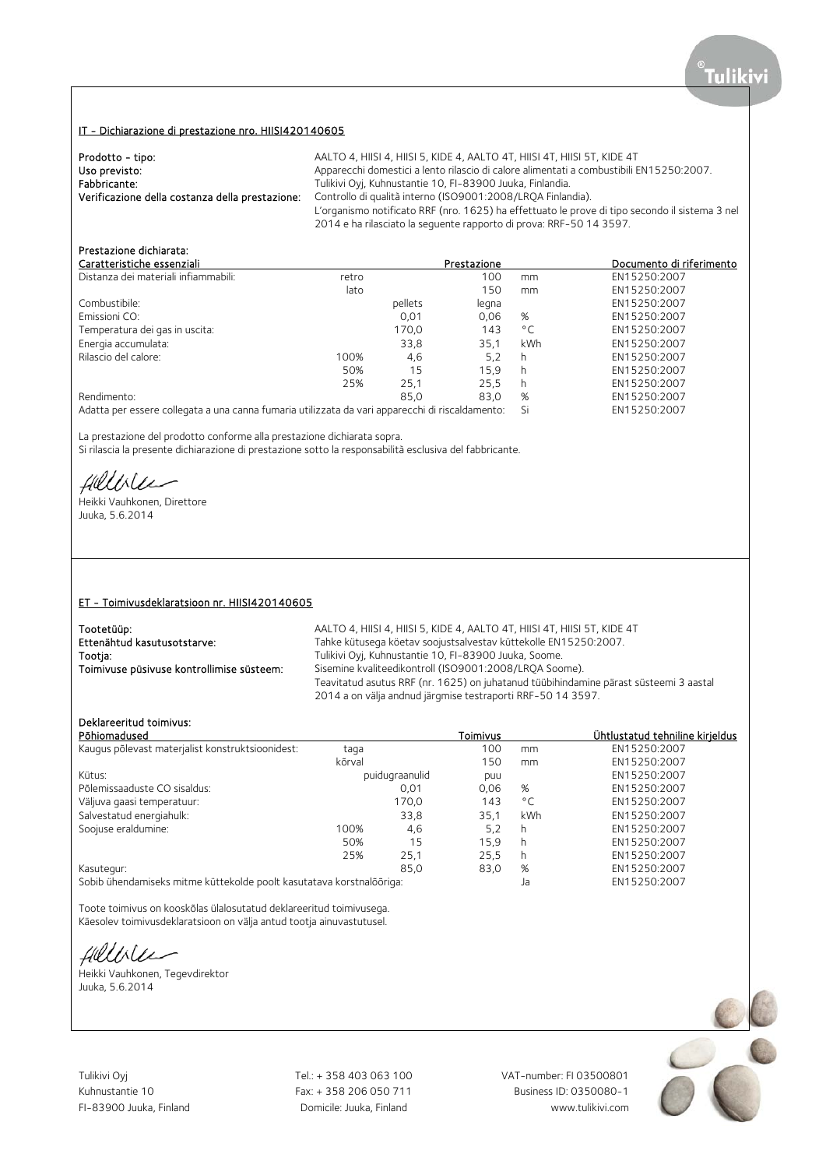## IT - Dichiarazione di prestazione nro. HIISI420140605

| Prodotto - tipo:                                | AALTO 4, HIISI 4, HIISI 5, KIDE 4, AALTO 4T, HIISI 4T, HIISI 5T, KIDE 4T                       |
|-------------------------------------------------|------------------------------------------------------------------------------------------------|
| Uso previsto:                                   | Apparecchi domestici a lento rilascio di calore alimentati a combustibili EN15250:2007.        |
| Fabbricante:                                    | Tulikivi Oyi, Kuhnustantie 10, FI-83900 Juuka, Finlandia.                                      |
| Verificazione della costanza della prestazione: | Controllo di qualità interno (ISO9001:2008/LRQA Finlandia).                                    |
|                                                 | L'organismo notificato RRF (nro. 1625) ha effettuato le prove di tipo secondo il sistema 3 nel |
|                                                 | 2014 e ha rilasciato la seguente rapporto di prova: RRF-50 14 3597.                            |

## Prestazione dichiarata:

| Caratteristiche essenziali                                                                      |       |         | Prestazione |              | Documento di riferimento |
|-------------------------------------------------------------------------------------------------|-------|---------|-------------|--------------|--------------------------|
| Distanza dei materiali infiammabili:                                                            | retro |         | 100         | mm           | EN15250:2007             |
|                                                                                                 | lato  |         | 150         | mm           | EN15250:2007             |
| Combustibile:                                                                                   |       | pellets | legna       |              | EN15250:2007             |
| Emissioni CO:                                                                                   |       | 0.01    | 0.06        | %            | EN15250:2007             |
| Temperatura dei gas in uscita:                                                                  |       | 170,0   | 143         | $^{\circ}$ C | EN15250:2007             |
| Energia accumulata:                                                                             |       | 33,8    | 35.1        | kWh          | EN15250:2007             |
| Rilascio del calore:                                                                            | 100%  | 4,6     | 5,2         | h            | EN15250:2007             |
|                                                                                                 | 50%   | 15      | 15.9        | h            | EN15250:2007             |
|                                                                                                 | 25%   | 25.1    | 25.5        | h            | EN15250:2007             |
| Rendimento:                                                                                     |       | 85.0    | 83.0        | %            | EN15250:2007             |
| Adatta per essere collegata a una canna fumaria utilizzata da vari apparecchi di riscaldamento: |       |         |             | Si           | EN15250:2007             |

La prestazione del prodotto conforme alla prestazione dichiarata sopra.

Si rilascia la presente dichiarazione di prestazione sotto la responsabilità esclusiva del fabbricante.

fillble

Heikki Vauhkonen, Direttore Juuka, 5.6.2014

#### ET - Toimivusdeklaratsioon nr. HIISI420140605

| Tootetüüp:                                | AALTO 4, HIISI 4, HIISI 5, KIDE 4, AALTO 4T, HIISI 4T, HIISI 5T, KIDE 4T                                                                             |
|-------------------------------------------|------------------------------------------------------------------------------------------------------------------------------------------------------|
| Ettenähtud kasutusotstarve:               | Tahke kütusega köetav soojustsalvestav küttekolle EN15250:2007.                                                                                      |
| Tootia:                                   | Tulikivi Oyj, Kuhnustantie 10, FI-83900 Juuka, Soome.                                                                                                |
| Toimivuse püsivuse kontrollimise süsteem: | Sisemine kvaliteedikontroll (ISO9001:2008/LROA Soome).                                                                                               |
|                                           | Teavitatud asutus RRF (nr. 1625) on juhatanud tüübihindamine pärast süsteemi 3 aastal<br>2014 a on välja andnud järgmise testraporti RRF-50 14 3597. |
|                                           |                                                                                                                                                      |

## Deklareeritud toimivus:

| Põhiomadused                                                         |        |                | Toimivus |              | Ühtlustatud tehniline kirjeldus |
|----------------------------------------------------------------------|--------|----------------|----------|--------------|---------------------------------|
| Kaugus põlevast materjalist konstruktsioonidest:                     | taga   |                | 100      | mm           | EN15250:2007                    |
|                                                                      | kõrval |                | 150      | mm           | EN15250:2007                    |
| Kütus:                                                               |        | puidugraanulid | puu      |              | EN15250:2007                    |
| Põlemissaaduste CO sisaldus:                                         |        | 0.01           | 0.06     | %            | EN15250:2007                    |
| Väljuva gaasi temperatuur:                                           |        | 170,0          | 143      | $^{\circ}$ C | EN15250:2007                    |
| Salvestatud energiahulk:                                             |        | 33,8           | 35,1     | kWh          | EN15250:2007                    |
| Soojuse eraldumine:                                                  | 100%   | 4,6            | 5,2      | h            | EN15250:2007                    |
|                                                                      | 50%    | 15             | 15.9     | h            | EN15250:2007                    |
|                                                                      | 25%    | 25,1           | 25.5     | h            | EN15250:2007                    |
| Kasutegur:                                                           |        | 85.0           | 83,0     | %            | EN15250:2007                    |
| Sobih übendamiseks mitme küttekolde poolt kasutatava kerstpalõõriga: |        |                |          | I٠           | EN15250.2007                    |

Sobib ühendamiseks mitme küttekolde poolt kasutatava korstnalõõriga: Ja EN15250:2007

Toote toimivus on kooskõlas ülalosutatud deklareeritud toimivusega. Käesolev toimivusdeklaratsioon on välja antud tootja ainuvastutusel.

fillble

Heikki Vauhkonen, Tegevdirektor Juuka, 5.6.2014

Kuhnustantie 10 Fax: + 358 206 050 711

Tulikivi Oyj Tel.: + 358 403 063 100 VAT-number: FI 03500801 FI-83900 Juuka, Finland Domicile: Juuka, Finland www.tulikivi.com

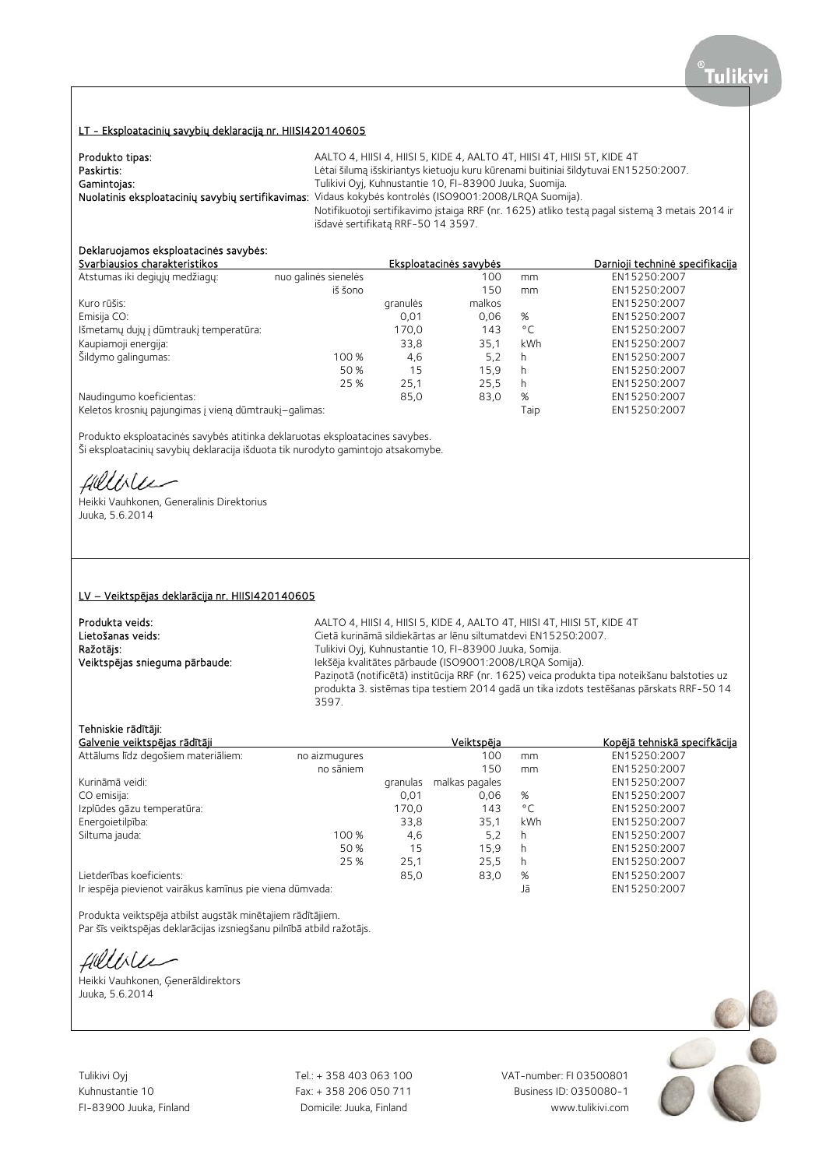## LT - Eksploatacinių savybių deklaraciją nr. HIISI420140605

| Produkto tipas: | AALTO 4, HIISI 4, HIISI 5, KIDE 4, AALTO 4T, HIISI 4T, HIISI 5T, KIDE 4T                                |
|-----------------|---------------------------------------------------------------------------------------------------------|
| Paskirtis:      | Lėtai šilumą išskiriantys kietuoju kuru kūrenami buitiniai šildytuvai EN15250:2007.                     |
| Gamintojas:     | Tulikivi Oyj, Kuhnustantie 10, FI-83900 Juuka, Suomija.                                                 |
|                 | Nuolatinis eksploatacinių savybių sertifikavimas: Vidaus kokybės kontrolės (ISO9001:2008/LRQA Suomija). |
|                 | Notifikuotoji sertifikavimo įstaiga RRF (nr. 1625) atliko testą pagal sistemą 3 metais 2014 ir          |
|                 | išdavė sertifikatą RRF-50 14 3597.                                                                      |

# Deklaruojamos eksploatacinės savybės:

| Svarbiausios charakteristikos                         |                      |          | Eksploatacinės savybės |              | Darnioji techninė specifikacija |
|-------------------------------------------------------|----------------------|----------|------------------------|--------------|---------------------------------|
| Atstumas iki degiųjų medžiagų:                        | nuo galinės sienelės |          | 100                    | mm           | EN15250:2007                    |
|                                                       | iš šono              |          | 150                    | mm           | EN15250:2007                    |
| Kuro rūšis:                                           |                      | granulės | malkos                 |              | EN15250:2007                    |
| Emisija CO:                                           |                      | 0,01     | 0.06                   | %            | EN15250:2007                    |
| Išmetamų dujų į dūmtraukį temperatūra:                |                      | 170,0    | 143                    | $^{\circ}$ C | EN15250:2007                    |
| Kaupiamoji energija:                                  |                      | 33,8     | 35.1                   | kWh          | EN15250:2007                    |
| Šildymo galingumas:                                   | 100 %                | 4,6      | 5,2                    | h            | EN15250:2007                    |
|                                                       | 50 %                 | 15       | 15.9                   | h            | EN15250:2007                    |
|                                                       | 25 %                 | 25,1     | 25.5                   | h            | EN15250:2007                    |
| Naudingumo koeficientas:                              |                      | 85,0     | 83,0                   | %            | EN15250:2007                    |
| Keletos krosnių pajungimas į vieną dūmtraukį-galimas: |                      |          |                        | Taip         | EN15250:2007                    |
|                                                       |                      |          |                        |              |                                 |

Produkto eksploatacinės savybės atitinka deklaruotas eksploatacines savybes. Ši eksploatacinių savybių deklaracija išduota tik nurodyto gamintojo atsakomybe.

Hillble

Heikki Vauhkonen, Generalinis Direktorius Juuka, 5.6.2014

#### LV – Veiktspējas deklarācija nr. HIISI420140605

**Produkta veids:** AALTO 4, HIISI 4, HIISI 4, HIISI 5, KIDE 4, AALTO 4T, HIISI 4T, HIISI 5T, KIDE 4T<br>Cietā kurināmā sildiekārtas ar lēnu siltumatdevi EN15250:2007. Lietošanas veids: Cietā kurināmā sildiekārtas ar lēnu siltumatdevi EN15250:2007.<br>
Ražotājs: Cietā siltumatorija ir Unikivi Oyj, Kuhnustantie 10, FI-83900 Juuka, Somija. Ražotājs: Tulikivi Oyj, Kuhnustantie 10, FI-83900 Juuka, Somija. Iekšēja kvalitātes pārbaude (ISO9001:2008/LROA Somija). Paziņotā (notificētā) institūcija RRF (nr. 1625) veica produkta tipa noteikšanu balstoties uz produkta 3. sistēmas tipa testiem 2014 gadā un tika izdots testēšanas pārskats RRF-50 14 3597.

### Tehniskie rādītāji:

|                                                          |          |                |              | <u>Kopējā tehniskā specifkācija</u> |
|----------------------------------------------------------|----------|----------------|--------------|-------------------------------------|
| no aizmugures                                            |          | 100            | mm           | EN15250:2007                        |
| no sāniem                                                |          | 150            | mm           | EN15250:2007                        |
|                                                          | granulas | malkas pagales |              | EN15250:2007                        |
|                                                          | 0,01     | 0,06           | %            | EN15250:2007                        |
|                                                          | 170,0    | 143            | $^{\circ}$ C | EN15250:2007                        |
|                                                          | 33,8     | 35.1           | kWh          | EN15250:2007                        |
| 100 %                                                    | 4,6      | 5,2            | h            | EN15250:2007                        |
| 50 %                                                     | 15       | 15.9           | h            | EN15250:2007                        |
| 25 %                                                     | 25,1     | 25,5           | h            | EN15250:2007                        |
|                                                          | 85,0     | 83,0           | %            | EN15250:2007                        |
| Ir iespēja pievienot vairākus kamīnus pie viena dūmvada: |          |                | Jā           | EN15250:2007                        |
|                                                          |          |                | Veiktspēja   |                                     |

Produkta veiktspēja atbilst augstāk minētajiem rādītājiem. Par šīs veiktspējas deklarācijas izsniegšanu pilnībā atbild ražotājs.

Hillble

Heikki Vauhkonen, Ģenerāldirektors Juuka, 5.6.2014



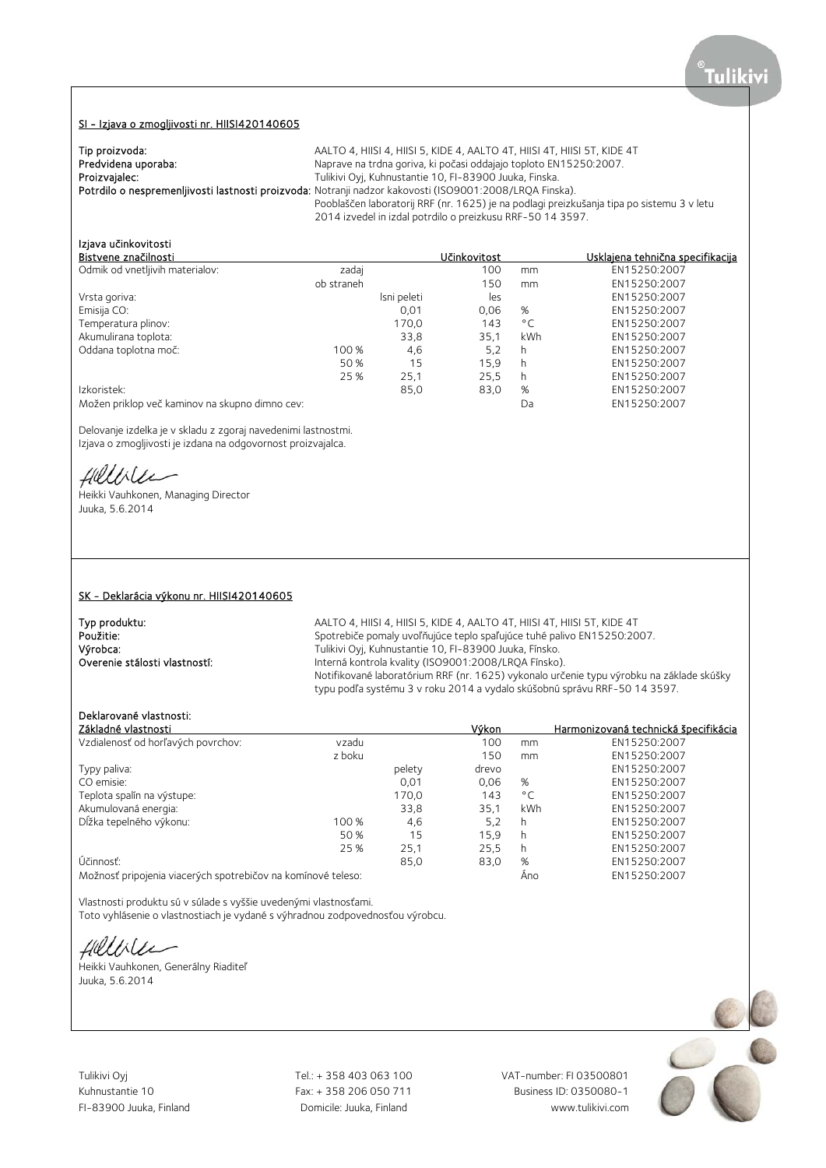#### SI - Izjava o zmogljivosti nr. HIISI420140605

| Tip proizvoda:      | AALTO 4, HIISI 4, HIISI 5, KIDE 4, AALTO 4T, HIISI 4T, HIISI 5T, KIDE 4T                                |
|---------------------|---------------------------------------------------------------------------------------------------------|
| Predvidena uporaba: | Naprave na trdna goriva, ki počasi oddajajo toploto EN15250:2007.                                       |
| Proizvajalec:       | Tulikivi Oyj, Kuhnustantie 10, FI-83900 Juuka, Finska.                                                  |
|                     | Potrdilo o nespremenljivosti lastnosti proizvoda: Notranji nadzor kakovosti (ISO9001:2008/LRQA Finska). |
|                     | Pooblaščen laboratorij RRF (nr. 1625) je na podlagi preizkušanja tipa po sistemu 3 v letu               |
|                     | 2014 izvedel in izdal potrdilo o preizkusu RRF-50 14 3597.                                              |

# Izjava učinkovitosti

| Bistvene značilnosti                           |            |             | Učinkovitost |              | Usklajena tehnična specifikacija |
|------------------------------------------------|------------|-------------|--------------|--------------|----------------------------------|
| Odmik od vnetljivih materialov:                | zadaj      |             | 100          | mm           | EN15250:2007                     |
|                                                | ob straneh |             | 150          | mm           | EN15250:2007                     |
| Vrsta goriva:                                  |            | Isni peleti | les          |              | EN15250:2007                     |
| Emisija CO:                                    |            | 0.01        | 0.06         | %            | EN15250:2007                     |
| Temperatura plinov:                            |            | 170,0       | 143          | $^{\circ}$ C | EN15250:2007                     |
| Akumulirana toplota:                           |            | 33,8        | 35.1         | kWh          | EN15250:2007                     |
| Oddana toplotna moč:                           | 100 %      | 4,6         | 5,2          | h            | EN15250:2007                     |
|                                                | 50 %       | 15          | 15,9         | h            | EN15250:2007                     |
|                                                | 25 %       | 25,1        | 25,5         | h            | EN15250:2007                     |
| Izkoristek:                                    |            | 85,0        | 83,0         | %            | EN15250:2007                     |
| Možen priklop več kaminov na skupno dimno cev: |            |             |              | Da           | EN15250:2007                     |

Delovanje izdelka je v skladu z zgoraj navedenimi lastnostmi. Izjava o zmogljivosti je izdana na odgovornost proizvajalca.

Helliter

Heikki Vauhkonen, Managing Director Juuka, 5.6.2014

#### SK - Deklarácia výkonu nr. HIISI420140605

**Typ produktu:** AALTO 4, HIISI 4, HIISI 5, KIDE 4, AALTO 4T, HIISI 4T, HIISI 5T, KIDE 4T<br>Použitie: Spotrebiče pomaly uvoľňujúce teplo spaľujúce tuhé palivo EN15250:20 Použitie:<br>
Spotrebiče pomaly uvoľňujúce teplo spaľujúce tuhé palivo EN15250:2007.<br>
Výrobca: Spotrebiče pomaly Kuhnustantie 10, FI-83900 Juuka, Fínsko. Výrobca: Tulikivi Oyj, Kuhnustantie 10, FI-83900 Juuka, Fínsko. Interná kontrola kvality (ISO9001:2008/LROA Fínsko). Notifikované laboratórium RRF (nr. 1625) vykonalo určenie typu výrobku na základe skúšky typu podľa systému 3 v roku 2014 a vydalo skúšobnú správu RRF-50 14 3597.

## Deklarované vlastnosti:

| Základné vlastnosti                                          |        |        | Výkon |              | Harmonizovaná technická špecifikácia |
|--------------------------------------------------------------|--------|--------|-------|--------------|--------------------------------------|
| Vzdialenosť od horľavých povrchov:                           | vzadu  |        | 100   | mm           | EN15250:2007                         |
|                                                              | z boku |        | 150   | mm           | EN15250:2007                         |
| Typy paliva:                                                 |        | pelety | drevo |              | EN15250:2007                         |
| CO emisie:                                                   |        | 0,01   | 0.06  | %            | EN15250:2007                         |
| Teplota spalín na výstupe:                                   |        | 170,0  | 143   | $^{\circ}$ C | EN15250:2007                         |
| Akumulovaná energia:                                         |        | 33,8   | 35.1  | kWh          | EN15250:2007                         |
| Dĺžka tepelného výkonu:                                      | 100 %  | 4,6    | 5,2   | h            | EN15250:2007                         |
|                                                              | 50 %   | 15     | 15.9  | h            | EN15250:2007                         |
|                                                              | 25 %   | 25,1   | 25,5  | h            | EN15250:2007                         |
| Účinnosť:                                                    |        | 85.0   | 83,0  | %            | EN15250:2007                         |
| Možnosť pripojenia viacerých spotrebičov na komínové teleso: |        |        |       | Ano          | EN15250:2007                         |

Vlastnosti produktu sú v súlade s vyššie uvedenými vlastnosťami. Toto vyhlásenie o vlastnostiach je vydané s výhradnou zodpovednosťou výrobcu.

Hillbler

Heikki Vauhkonen, Generálny Riaditeľ Juuka, 5.6.2014